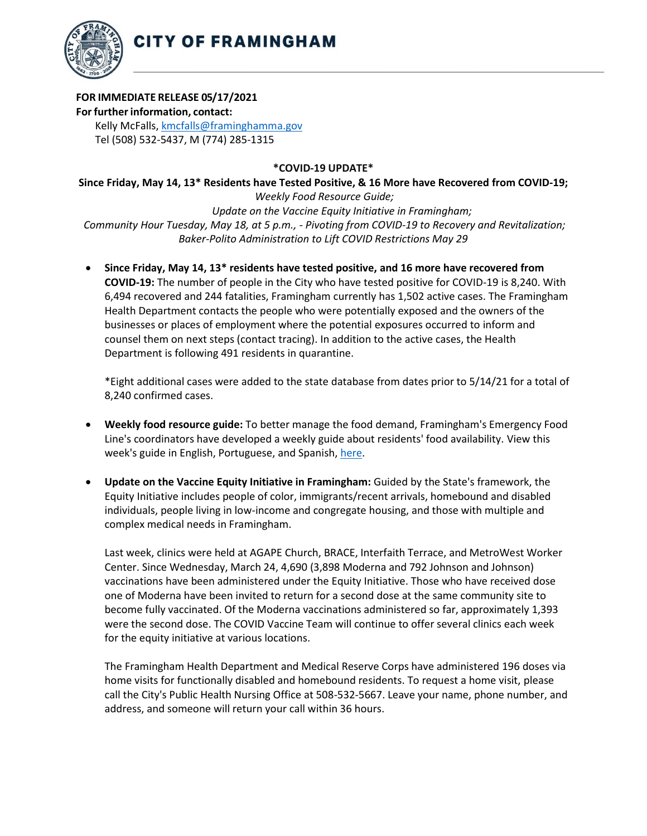

**CITY OF FRAMINGHAM** 

## **FOR IMMEDIATE RELEASE 05/17/2021**

**For further information, contact:** Kelly McFalls[, kmcfalls@framinghamma.gov](mailto:kmcfalls@framinghamma.gov) Tel (508) 532-5437, M (774) 285-1315

## **\*COVID-19 UPDATE\***

**Since Friday, May 14, 13\* Residents have Tested Positive, & 16 More have Recovered from COVID-19;** *Weekly Food Resource Guide; Update on the Vaccine Equity Initiative in Framingham; Community Hour Tuesday, May 18, at 5 p.m., - Pivoting from COVID-19 to Recovery and Revitalization;*

- *Baker-Polito Administration to Lift COVID Restrictions May 29* • **Since Friday, May 14, 13\* residents have tested positive, and 16 more have recovered from**
- **COVID-19:** The number of people in the City who have tested positive for COVID-19 is 8,240. With 6,494 recovered and 244 fatalities, Framingham currently has 1,502 active cases. The Framingham Health Department contacts the people who were potentially exposed and the owners of the businesses or places of employment where the potential exposures occurred to inform and counsel them on next steps (contact tracing). In addition to the active cases, the Health Department is following 491 residents in quarantine.

\*Eight additional cases were added to the state database from dates prior to 5/14/21 for a total of 8,240 confirmed cases.

- **Weekly food resource guide:** To better manage the food demand, Framingham's Emergency Food Line's coordinators have developed a weekly guide about residents' food availability. View this week's guide in English, Portuguese, and Spanish, [here.](https://www.framinghamma.gov/3023/Access-Food)
- **Update on the Vaccine Equity Initiative in Framingham:** Guided by the State's framework, the Equity Initiative includes people of color, immigrants/recent arrivals, homebound and disabled individuals, people living in low-income and congregate housing, and those with multiple and complex medical needs in Framingham.

Last week, clinics were held at AGAPE Church, BRACE, Interfaith Terrace, and MetroWest Worker Center. Since Wednesday, March 24, 4,690 (3,898 Moderna and 792 Johnson and Johnson) vaccinations have been administered under the Equity Initiative. Those who have received dose one of Moderna have been invited to return for a second dose at the same community site to become fully vaccinated. Of the Moderna vaccinations administered so far, approximately 1,393 were the second dose. The COVID Vaccine Team will continue to offer several clinics each week for the equity initiative at various locations.

The Framingham Health Department and Medical Reserve Corps have administered 196 doses via home visits for functionally disabled and homebound residents. To request a home visit, please call the City's Public Health Nursing Office at 508-532-5667. Leave your name, phone number, and address, and someone will return your call within 36 hours.